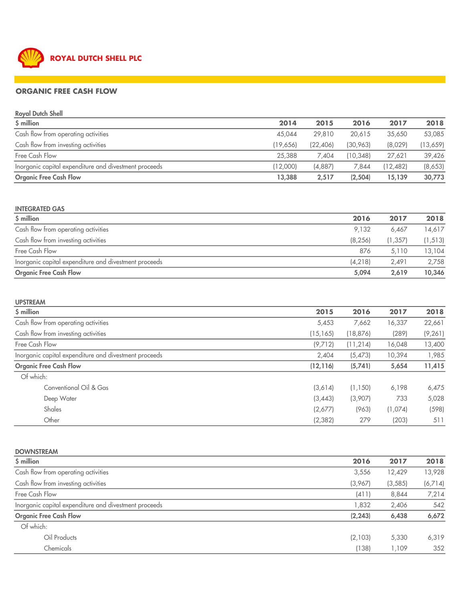

## ORGANIC FREE CASH FLOW

| <b>Royal Dutch Shell</b>                              |          |           |          |           |          |
|-------------------------------------------------------|----------|-----------|----------|-----------|----------|
| \$ million                                            | 2014     | 2015      | 2016     | 2017      | 2018     |
| Cash flow from operating activities                   | 45.044   | 29,810    | 20,615   | 35,650    | 53,085   |
| Cash flow from investing activities                   | (19,656) | (22, 406) | (30,963) | (8,029)   | (13,659) |
| Free Cash Flow                                        | 25,388   | 7.404     | (10.348) | 27,621    | 39,426   |
| Inorganic capital expenditure and divestment proceeds | (12,000) | (4,887)   | 7.844    | (12, 482) | (8,653)  |
| <b>Organic Free Cash Flow</b>                         | 13,388   | 2,517     | (2,504)  | 15,139    | 30,773   |

#### INTEGRATED GAS

| $$$ million                                           | 2016     | 2017     | 2018     |
|-------------------------------------------------------|----------|----------|----------|
| Cash flow from operating activities                   | 9.132    | 6,467    | 14,617   |
| Cash flow from investing activities                   | (8, 256) | (1, 357) | (1, 513) |
| Free Cash Flow                                        | 876      | 5.110    | 13,104   |
| Inorganic capital expenditure and divestment proceeds | (4,218)  | 2.491    | 2,758    |
| <b>Organic Free Cash Flow</b>                         | 5,094    | 2,619    | 10,346   |

| <b>UPSTREAM</b>                                       |           |           |         |          |
|-------------------------------------------------------|-----------|-----------|---------|----------|
| \$ million                                            | 2015      | 2016      | 2017    | 2018     |
| Cash flow from operating activities                   | 5,453     | 7,662     | 16,337  | 22,661   |
| Cash flow from investing activities                   | (15, 165) | (18, 876) | (289)   | (9, 261) |
| Free Cash Flow                                        | (9,712)   | (11,214)  | 16,048  | 13,400   |
| Inorganic capital expenditure and divestment proceeds | 2,404     | (5, 473)  | 10,394  | 1,985    |
| <b>Organic Free Cash Flow</b>                         | (12, 116) | (5,741)   | 5,654   | 11,415   |
| Of which:                                             |           |           |         |          |
| Conventional Oil & Gas                                | (3,614)   | (1, 150)  | 6,198   | 6,475    |
| Deep Water                                            | (3,443)   | (3,907)   | 733     | 5,028    |
| Shales                                                | (2,677)   | (963)     | (1,074) | (598)    |
| Other                                                 | (2, 382)  | 279       | (203)   | 511      |

| <b>DOWNSTREAM</b>                                     |          |          |         |
|-------------------------------------------------------|----------|----------|---------|
| \$ million                                            | 2016     | 2017     | 2018    |
| Cash flow from operating activities                   | 3,556    | 12,429   | 13,928  |
| Cash flow from investing activities                   | (3,967)  | (3, 585) | (6,714) |
| Free Cash Flow                                        | (411)    | 8,844    | 7,214   |
| Inorganic capital expenditure and divestment proceeds | 1,832    | 2,406    | 542     |
| <b>Organic Free Cash Flow</b>                         | (2, 243) | 6,438    | 6,672   |
| Of which:                                             |          |          |         |
| Oil Products                                          | (2,103)  | 5,330    | 6,319   |
| Chemicals                                             | (138)    | 1,109    | 352     |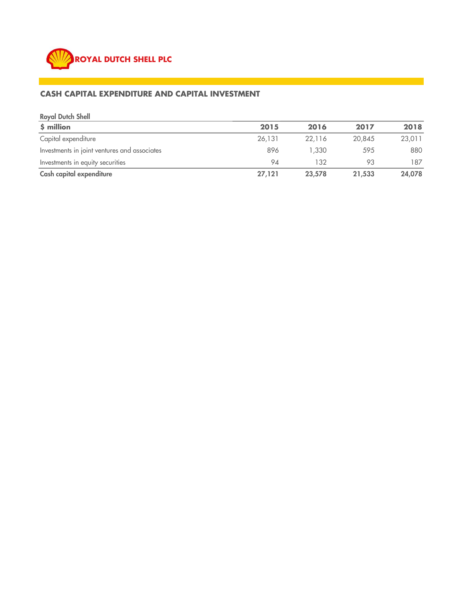

## CASH CAPITAL EXPENDITURE AND CAPITAL INVESTMENT

| <b>Royal Dutch Shell</b>                     |        |        |        |        |
|----------------------------------------------|--------|--------|--------|--------|
| $$$ million                                  | 2015   | 2016   | 2017   | 2018   |
| Capital expenditure                          | 26,131 | 22,116 | 20,845 | 23,011 |
| Investments in joint ventures and associates | 896    | 1,330  | 595    | 880    |
| Investments in equity securities             | 94     | 132    | 93     | 187    |
| Cash capital expenditure                     | 27,121 | 23,578 | 21,533 | 24,078 |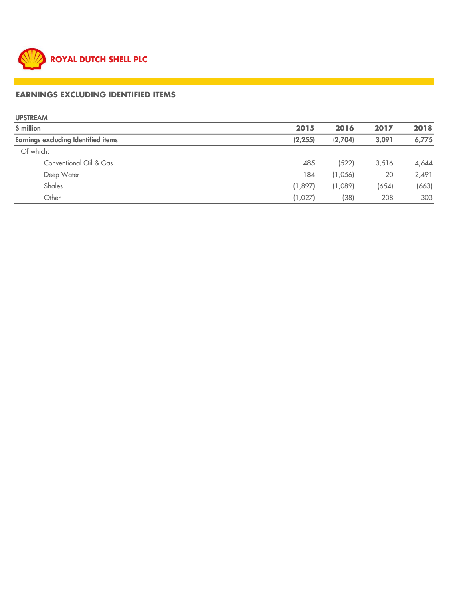

# EARNINGS EXCLUDING IDENTIFIED ITEMS

UPSTREAM

| \$ million                                 | 2015     | 2016    | 2017  | 2018  |
|--------------------------------------------|----------|---------|-------|-------|
| <b>Earnings excluding Identified items</b> | (2, 255) | (2,704) | 3,091 | 6,775 |
| Of which:                                  |          |         |       |       |
| Conventional Oil & Gas                     | 485      | (522)   | 3,516 | 4,644 |
| Deep Water                                 | 184      | (1,056) | 20    | 2,491 |
| Shales                                     | (1,897)  | (1,089) | (654) | (663) |
| Other                                      | (1,027)  | (38)    | 208   | 303   |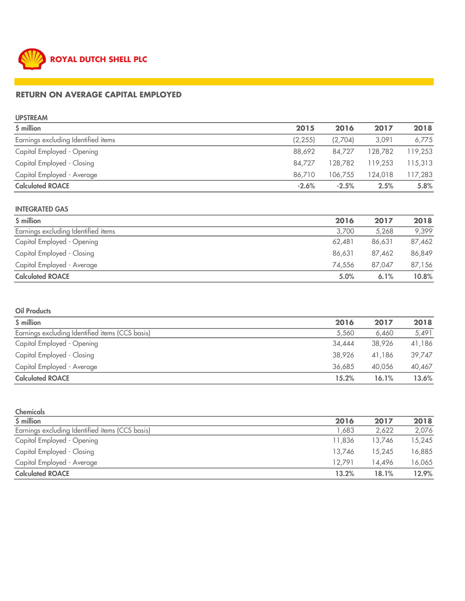

## RETURN ON AVERAGE CAPITAL EMPLOYED

UPSTREAM

| \$ million                          | 2015     | 2016    | 2017    | 2018    |
|-------------------------------------|----------|---------|---------|---------|
| Earnings excluding Identified items | (2, 255) | (2,704) | 3.091   | 6,775   |
| Capital Employed - Opening          | 88,692   | 84,727  | 128,782 | 119,253 |
| Capital Employed - Closing          | 84,727   | 128.782 | 119,253 | 115,313 |
| Capital Employed - Average          | 86,710   | 106,755 | 124,018 | 117,283 |
| <b>Calculated ROACE</b>             | $-2.6%$  | $-2.5%$ | 2.5%    | 5.8%    |

#### INTEGRATED GAS

| \$ million                          | 2016   | 2017   | 2018   |
|-------------------------------------|--------|--------|--------|
| Earnings excluding Identified items | 3,700  | 5,268  | 9,399  |
| Capital Employed - Opening          | 62,481 | 86,631 | 87,462 |
| Capital Employed - Closing          | 86,631 | 87,462 | 86,849 |
| Capital Employed - Average          | 74,556 | 87,047 | 87,156 |
| <b>Calculated ROACE</b>             | 5.0%   | 6.1%   | 10.8%  |

### Oil Products

| \$ million                                      | 2016   | 2017   | 2018   |
|-------------------------------------------------|--------|--------|--------|
| Earnings excluding Identified items (CCS basis) | 5.560  | 6,460  | 5,491  |
| Capital Employed - Opening                      | 34,444 | 38,926 | 41,186 |
| Capital Employed - Closing                      | 38,926 | 41.186 | 39.747 |
| Capital Employed - Average                      | 36.685 | 40,056 | 40,467 |
| <b>Calculated ROACE</b>                         | 15.2%  | 16.1%  | 13.6%  |

| <b>Chemicals</b>                                |        |        |        |
|-------------------------------------------------|--------|--------|--------|
| \$ million                                      | 2016   | 2017   | 2018   |
| Earnings excluding Identified items (CCS basis) | 683, ا | 2,622  | 2,076  |
| Capital Employed - Opening                      | 11,836 | 13.746 | 15,245 |
| Capital Employed - Closing                      | 13.746 | 15,245 | 16,885 |
| Capital Employed - Average                      | 12.791 | 14,496 | 16,065 |
| <b>Calculated ROACE</b>                         | 13.2%  | 18.1%  | 12.9%  |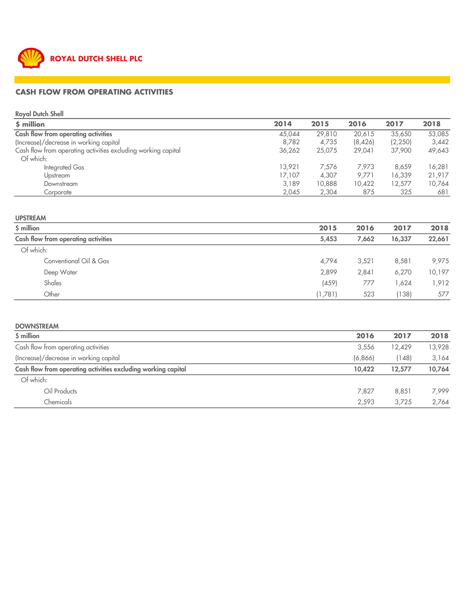

### CASH FLOW FROM OPERATING ACTIVITIES

Royal Dutch Shell

| $$$ million                                                   | 2014   | 2015   | 2016    | 2017    | 2018   |
|---------------------------------------------------------------|--------|--------|---------|---------|--------|
| Cash flow from operating activities                           | 45,044 | 29,810 | 20,615  | 35,650  | 53,085 |
| (Increase)/decrease in working capital                        | 8,782  | 4,735  | (8,426) | (2,250) | 3,442  |
| Cash flow from operating activities excluding working capital | 36,262 | 25,075 | 29,041  | 37,900  | 49,643 |
| Of which:                                                     |        |        |         |         |        |
| Integrated Gas                                                | 13.921 | 7.576  | 7.973   | 8,659   | 16,281 |
| Upstream                                                      | 17,107 | 4.307  | 9,771   | 16,339  | 21,917 |
| Downstream                                                    | 3,189  | 10,888 | 10,422  | 12,577  | 10,764 |
| Corporate                                                     | 2,045  | 2,304  | 875     | 325     | 681    |

#### UPSTREAM

| \$ million                          | 2015    | 2016  | 2017   | 2018   |
|-------------------------------------|---------|-------|--------|--------|
| Cash flow from operating activities | 5,453   | 7,662 | 16,337 | 22,661 |
| Of which:                           |         |       |        |        |
| Conventional Oil & Gas              | 4,794   | 3,521 | 8,581  | 9,975  |
| Deep Water                          | 2,899   | 2,841 | 6.270  | 10,197 |
| Shales                              | (459)   | 777   | 1.624  | 1,912  |
| Other                               | (1,781) | 523   | (138)  | 577    |

# DOWNSTREAM \$ million 2016 2017 2018 Cash flow from operating activities and the state of the state of the state of the state of the state of the state of the state of the state of the state of the state of the state of the state of the state of the state of (Increase)/decrease in working capital and the set of the control of the control of the control of the control of the control of the control of the control of the control of the control of the control of the control of the Cash flow from operating activities excluding working capital 10,422 12,577 10,764 Of which: Oil Products 7,827 8,851 7,999 Chemicals 2,593 3,725 2,764